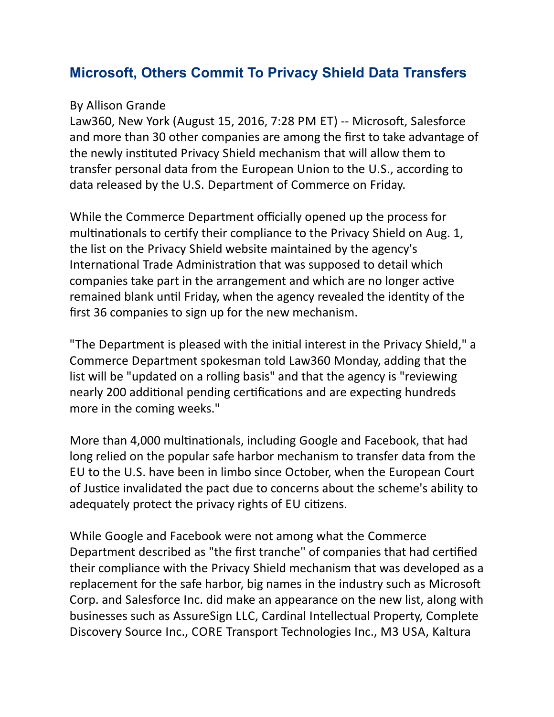## **[Microsoft, Others Commit To Privacy Shield Data Transfers](http://postlink.www.listbox.com/2183749/f3d009a01a4215dbcc7f40d54477e80b/20042218/16e1b960?uri=aHR0cDovL3d3dy5sYXczNjAuY29tL3ByaXZhY3kvYXJ0aWNsZXMvODI4NTI1P25sX3BrPTQ4OWUzMjRjLWYyZGQtNDIxNC1hYWFkLTJmMTBkNzkxMTBhNiZ1dG1fc291cmNlPW5ld3NsZXR0ZXImdXRtX21lZGl1bT1lbWFpbCZ1dG1fY2FtcGFpZ249cHJpdmFjeQ)**

## By Allison Grande

Law360, New York (August 15, 2016, 7:28 PM ET) -- Microsoft, Salesforce and more than 30 other companies are among the first to take advantage of the newly instituted Privacy Shield mechanism that will allow them to transfer personal data from the European Union to the U.S., according to data released by the U.S. Department of Commerce on Friday.

While the Commerce Department officially opened up the process for multinationals to certify their compliance to the Privacy Shield on Aug. 1, the list on the Privacy Shield website maintained by the agency's International Trade Administration that was supposed to detail which companies take part in the arrangement and which are no longer active remained blank until Friday, when the agency revealed the identity of the first 36 companies to sign up for the new mechanism.

"The Department is pleased with the initial interest in the Privacy Shield," a Commerce Department spokesman told Law360 Monday, adding that the list will be "updated on a rolling basis" and that the agency is "reviewing nearly 200 additional pending certifications and are expecting hundreds more in the coming weeks."

More than 4,000 multinationals, including Google and Facebook, that had long relied on the popular safe harbor mechanism to transfer data from the EU to the U.S. have been in limbo since October, when the European Court of Justice invalidated the pact due to concerns about the scheme's ability to adequately protect the privacy rights of EU citizens.

While Google and Facebook were not among what the Commerce Department described as "the first tranche" of companies that had certified their compliance with the Privacy Shield mechanism that was developed as a replacement for the safe harbor, big names in the industry such as Microsoft Corp. and Salesforce Inc. did make an appearance on the new list, along with businesses such as AssureSign LLC, Cardinal Intellectual Property, Complete Discovery Source Inc., CORE Transport Technologies Inc., M3 USA, Kaltura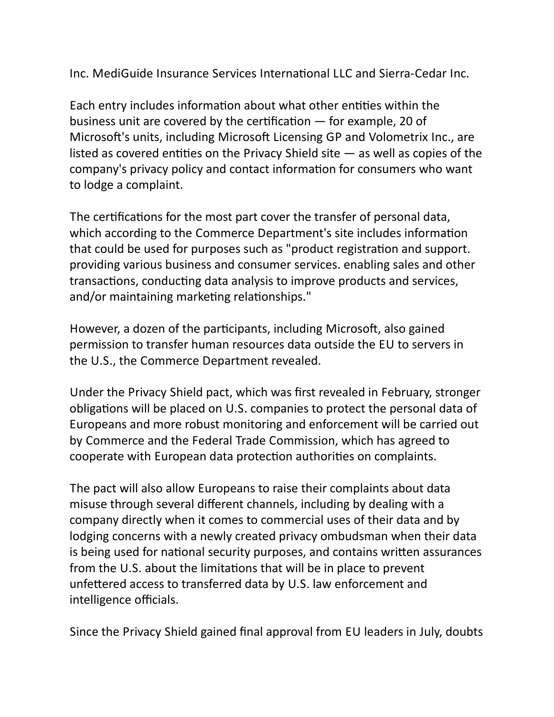Inc. MediGuide Insurance Services International LLC and Sierra-Cedar Inc.

Each entry includes information about what other entities within the business unit are covered by the certification  $-$  for example, 20 of Microsoft's units, including Microsoft Licensing GP and Volometrix Inc., are listed as covered entities on the Privacy Shield site  $-$  as well as copies of the company's privacy policy and contact information for consumers who want to lodge a complaint.

The certifications for the most part cover the transfer of personal data, which according to the Commerce Department's site includes information that could be used for purposes such as "product registration and support. providing various business and consumer services. enabling sales and other transactions, conducting data analysis to improve products and services, and/or maintaining marketing relationships."

However, a dozen of the participants, including Microsoft, also gained permission to transfer human resources data outside the EU to servers in the U.S., the Commerce Department revealed.

Under the Privacy Shield pact, which was first revealed in February, stronger obligations will be placed on U.S. companies to protect the personal data of Europeans and more robust monitoring and enforcement will be carried out by Commerce and the Federal Trade Commission, which has agreed to cooperate with European data protection authorities on complaints.

The pact will also allow Europeans to raise their complaints about data misuse through several different channels, including by dealing with a company directly when it comes to commercial uses of their data and by lodging concerns with a newly created privacy ombudsman when their data is being used for national security purposes, and contains written assurances from the U.S. about the limitations that will be in place to prevent unfettered access to transferred data by U.S. law enforcement and intelligence officials.

Since the Privacy Shield gained final approval from EU leaders in July, doubts